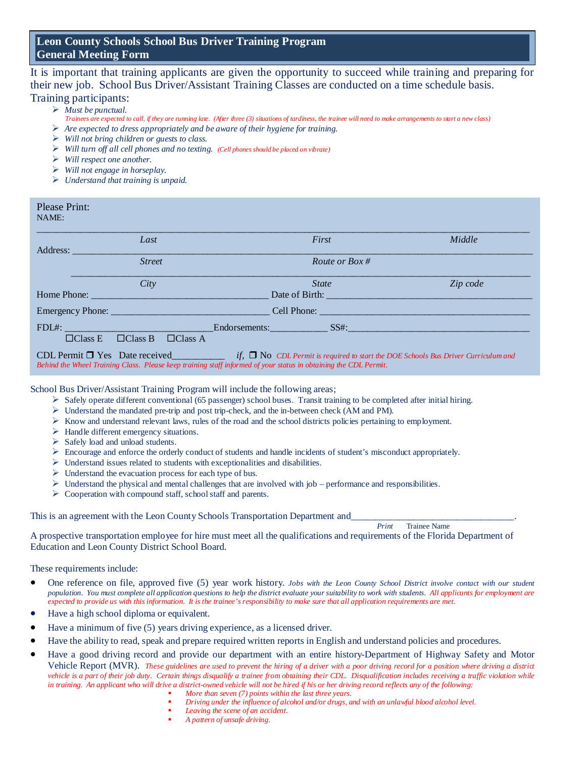## It is important that training applicants are given the opportunity to succeed while training and preparing for their new job. School Bus Driver/Assistant Training Classes are conducted on a time schedule basis. Training participants:

- *Must be punctual.*
	- *Trainees are expected to call, if they are running late. (After three (3) situations of tardiness, the trainee will need to make arrangements to start a new class)*
- *Are expected to dress appropriately and be aware of their hygiene for training.*
- *Will not bring children or guests to class.*
- *Will turn off all cell phones and no texting. (Cell phones should be placed on vibrate)*
- *Will respect one another.*
- *Will not engage in horseplay.*
- *Understand that training is unpaid.*

| <b>Please Print:</b><br>NAME: |                                              |                                                                                                                                                                                                                                                             |          |
|-------------------------------|----------------------------------------------|-------------------------------------------------------------------------------------------------------------------------------------------------------------------------------------------------------------------------------------------------------------|----------|
|                               | Last                                         | First                                                                                                                                                                                                                                                       | Middle   |
|                               | <b>Street</b>                                | <i>Route or Box#</i>                                                                                                                                                                                                                                        |          |
|                               | City                                         | <i>State</i>                                                                                                                                                                                                                                                | Zip code |
|                               |                                              |                                                                                                                                                                                                                                                             |          |
|                               |                                              |                                                                                                                                                                                                                                                             |          |
|                               | $\Box$ Class E $\Box$ Class B $\Box$ Class A |                                                                                                                                                                                                                                                             |          |
|                               |                                              | CDL Permit $\Box$ Yes Date received ___________ if, $\Box$ No CDL Permit is required to start the DOE Schools Bus Driver Curriculum and<br>Behind the Wheel Training Class. Please keep training staff informed of your status in obtaining the CDL Permit. |          |

School Bus Driver/Assistant Training Program will include the following areas;

- $\triangleright$  Safely operate different conventional (65 passenger) school buses. Transit training to be completed after initial hiring.
- $\triangleright$  Understand the mandated pre-trip and post trip-check, and the in-between check (AM and PM).
- $\triangleright$  Know and understand relevant laws, rules of the road and the school districts policies pertaining to employment.
- $\triangleright$  Handle different emergency situations.
- $\triangleright$  Safely load and unload students.
- $\triangleright$  Encourage and enforce the orderly conduct of students and handle incidents of student's misconduct appropriately.
- $\triangleright$  Understand issues related to students with exceptionalities and disabilities.
- $\triangleright$  Understand the evacuation process for each type of bus.
- $\triangleright$  Understand the physical and mental challenges that are involved with job performance and responsibilities.
- Cooperation with compound staff, school staff and parents.

This is an agreement with the Leon County Schools Transportation Department and\_\_\_\_\_\_\_\_\_\_\_\_\_\_\_\_\_\_\_\_\_\_\_\_\_\_\_\_\_\_\_\_\_\_.

**Trainee Name** 

A prospective transportation employee for hire must meet all the qualifications and requirements of the Florida Department of Education and Leon County District School Board.

These requirements include:

- One reference on file, approved five (5) year work history. *Jobs with the Leon County School District involve contact with our student population. You must complete all application questions to help the district evaluate your suitability to work with students. All applicants for employment are expected to provide us with this information. It is the trainee's responsibility to make sure that all application requirements are met.*
- Have a high school diploma or equivalent.
- Have a minimum of five (5) years driving experience, as a licensed driver.
- Have the ability to read, speak and prepare required written reports in English and understand policies and procedures.
- Have a good driving record and provide our department with an entire history-Department of Highway Safety and Motor Vehicle Report (MVR). *These guidelines are used to prevent the hiring of a driver with a poor driving record for a position where driving a district vehicle is a part of their job duty. Certain things disqualify a trainee from obtaining their CDL. Disqualification includes receiving a traffic violation while in training. An applicant who will drive a district-owned vehicle will not be hired if his or her driving record reflects any of the following:*
	- *More than seven (7) points within the last three years.*<br>■ *Driving under the influence of alcohol and/or drugs a*
	- *Driving under the influence of alcohol and/or drugs, and with an unlawful blood alcohol level.*
	- *Leaving the scene of an accident.*
	- *A pattern of unsafe driving.*